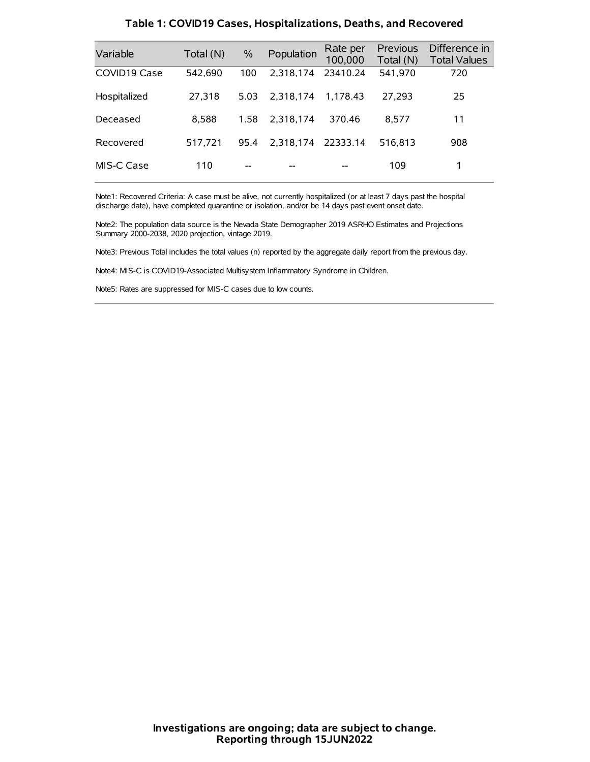| Variable     | Total (N) | $\%$ | Population | Rate per<br>100,000 | Previous<br>Total (N) | Difference in<br><b>Total Values</b> |
|--------------|-----------|------|------------|---------------------|-----------------------|--------------------------------------|
| COVID19 Case | 542,690   | 100  | 2.318.174  | 23410.24            | 541,970               | 720                                  |
| Hospitalized | 27,318    | 5.03 | 2.318.174  | 1.178.43            | 27.293                | 25                                   |
| Deceased     | 8,588     | 1.58 | 2.318.174  | 370.46              | 8.577                 | 11                                   |
| Recovered    | 517.721   | 95.4 | 2.318.174  | 22333.14            | 516.813               | 908                                  |
| MIS-C Case   | 110       | --   |            |                     | 109                   | 1                                    |

#### **Table 1: COVID19 Cases, Hospitalizations, Deaths, and Recovered**

Note1: Recovered Criteria: A case must be alive, not currently hospitalized (or at least 7 days past the hospital discharge date), have completed quarantine or isolation, and/or be 14 days past event onset date.

Note2: The population data source is the Nevada State Demographer 2019 ASRHO Estimates and Projections Summary 2000-2038, 2020 projection, vintage 2019.

Note3: Previous Total includes the total values (n) reported by the aggregate daily report from the previous day.

Note4: MIS-C is COVID19-Associated Multisystem Inflammatory Syndrome in Children.

Note5: Rates are suppressed for MIS-C cases due to low counts.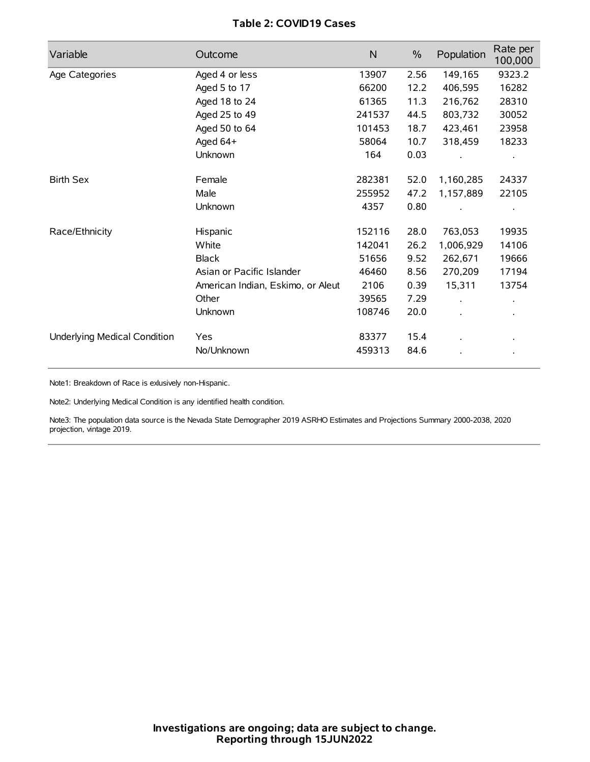# **Table 2: COVID19 Cases**

| Variable                     | Outcome                           | $\mathsf{N}$ | $\%$ | Population | Rate per<br>100,000 |
|------------------------------|-----------------------------------|--------------|------|------------|---------------------|
| Age Categories               | Aged 4 or less                    | 13907        | 2.56 | 149,165    | 9323.2              |
|                              | Aged 5 to 17                      | 66200        | 12.2 | 406,595    | 16282               |
|                              | Aged 18 to 24                     | 61365        | 11.3 | 216,762    | 28310               |
|                              | Aged 25 to 49                     | 241537       | 44.5 | 803,732    | 30052               |
|                              | Aged 50 to 64                     | 101453       | 18.7 | 423,461    | 23958               |
|                              | Aged 64+                          | 58064        | 10.7 | 318,459    | 18233               |
|                              | Unknown                           | 164          | 0.03 |            |                     |
| <b>Birth Sex</b>             | Female                            | 282381       | 52.0 | 1,160,285  | 24337               |
|                              | Male                              | 255952       | 47.2 | 1,157,889  | 22105               |
|                              | Unknown                           | 4357         | 0.80 |            |                     |
| Race/Ethnicity               | Hispanic                          | 152116       | 28.0 | 763,053    | 19935               |
|                              | White                             | 142041       | 26.2 | 1,006,929  | 14106               |
|                              | <b>Black</b>                      | 51656        | 9.52 | 262,671    | 19666               |
|                              | Asian or Pacific Islander         | 46460        | 8.56 | 270,209    | 17194               |
|                              | American Indian, Eskimo, or Aleut | 2106         | 0.39 | 15,311     | 13754               |
|                              | Other                             | 39565        | 7.29 |            |                     |
|                              | Unknown                           | 108746       | 20.0 |            |                     |
| Underlying Medical Condition | Yes                               | 83377        | 15.4 |            |                     |
|                              | No/Unknown                        | 459313       | 84.6 |            |                     |

Note1: Breakdown of Race is exlusively non-Hispanic.

Note2: Underlying Medical Condition is any identified health condition.

Note3: The population data source is the Nevada State Demographer 2019 ASRHO Estimates and Projections Summary 2000-2038, 2020 projection, vintage 2019.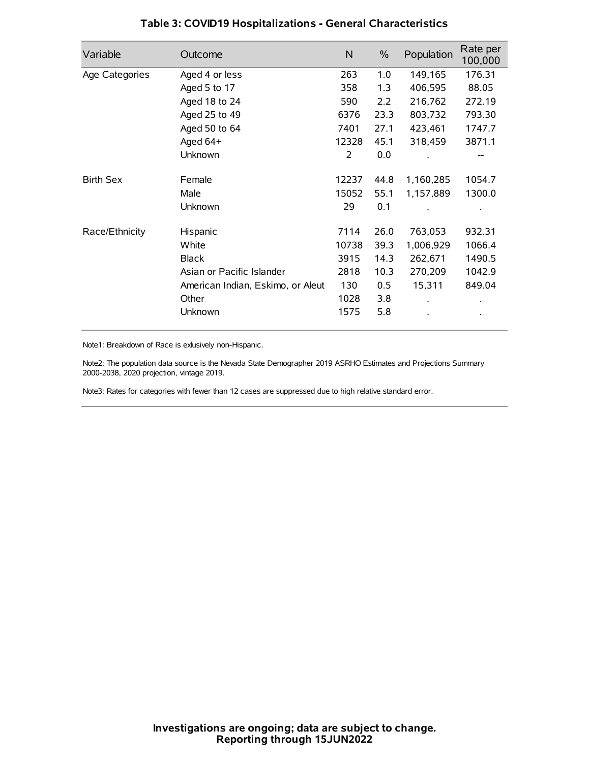| Variable         | Outcome                           | $\mathsf{N}$ | $\%$ | Population | Rate per<br>100,000 |
|------------------|-----------------------------------|--------------|------|------------|---------------------|
| Age Categories   | Aged 4 or less                    | 263          | 1.0  | 149,165    | 176.31              |
|                  | Aged 5 to 17                      | 358          | 1.3  | 406,595    | 88.05               |
|                  | Aged 18 to 24                     | 590          | 2.2  | 216,762    | 272.19              |
|                  | Aged 25 to 49                     | 6376         | 23.3 | 803,732    | 793.30              |
|                  | Aged 50 to 64                     | 7401         | 27.1 | 423,461    | 1747.7              |
|                  | Aged 64+                          | 12328        | 45.1 | 318,459    | 3871.1              |
|                  | Unknown                           | 2            | 0.0  |            |                     |
| <b>Birth Sex</b> | Female                            | 12237        | 44.8 | 1,160,285  | 1054.7              |
|                  | Male                              | 15052        | 55.1 | 1,157,889  | 1300.0              |
|                  | Unknown                           | 29           | 0.1  |            |                     |
| Race/Ethnicity   | Hispanic                          | 7114         | 26.0 | 763,053    | 932.31              |
|                  | White                             | 10738        | 39.3 | 1,006,929  | 1066.4              |
|                  | <b>Black</b>                      | 3915         | 14.3 | 262,671    | 1490.5              |
|                  | Asian or Pacific Islander         | 2818         | 10.3 | 270,209    | 1042.9              |
|                  | American Indian, Eskimo, or Aleut | 130          | 0.5  | 15,311     | 849.04              |
|                  | Other                             | 1028         | 3.8  |            |                     |
|                  | Unknown                           | 1575         | 5.8  |            |                     |

# **Table 3: COVID19 Hospitalizations - General Characteristics**

Note1: Breakdown of Race is exlusively non-Hispanic.

Note2: The population data source is the Nevada State Demographer 2019 ASRHO Estimates and Projections Summary 2000-2038, 2020 projection, vintage 2019.

Note3: Rates for categories with fewer than 12 cases are suppressed due to high relative standard error.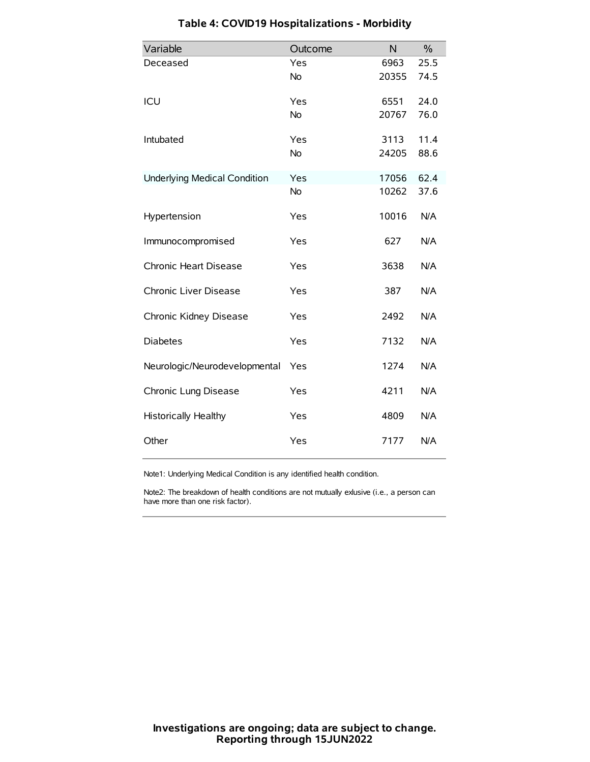| Variable                            | Outcome   | N     | $\frac{0}{0}$ |
|-------------------------------------|-----------|-------|---------------|
| Deceased                            | Yes       | 6963  | 25.5          |
|                                     | No        | 20355 | 74.5          |
| ICU                                 | Yes       | 6551  | 24.0          |
|                                     | <b>No</b> | 20767 | 76.0          |
| Intubated                           | Yes       | 3113  | 11.4          |
|                                     | No        | 24205 | 88.6          |
| <b>Underlying Medical Condition</b> | Yes       | 17056 | 62.4          |
|                                     | <b>No</b> | 10262 | 37.6          |
| Hypertension                        | Yes       | 10016 | N/A           |
| Immunocompromised                   | Yes       | 627   | N/A           |
| Chronic Heart Disease               | Yes       | 3638  | N/A           |
| Chronic Liver Disease               | Yes       | 387   | N/A           |
| Chronic Kidney Disease              | Yes       | 2492  | N/A           |
| <b>Diabetes</b>                     | Yes       | 7132  | N/A           |
| Neurologic/Neurodevelopmental       | Yes       | 1274  | N/A           |
| Chronic Lung Disease                | Yes       | 4211  | N/A           |
| <b>Historically Healthy</b>         | Yes       | 4809  | N/A           |
| Other                               | Yes       | 7177  | N/A           |

# **Table 4: COVID19 Hospitalizations - Morbidity**

Note1: Underlying Medical Condition is any identified health condition.

Note2: The breakdown of health conditions are not mutually exlusive (i.e., a person can have more than one risk factor).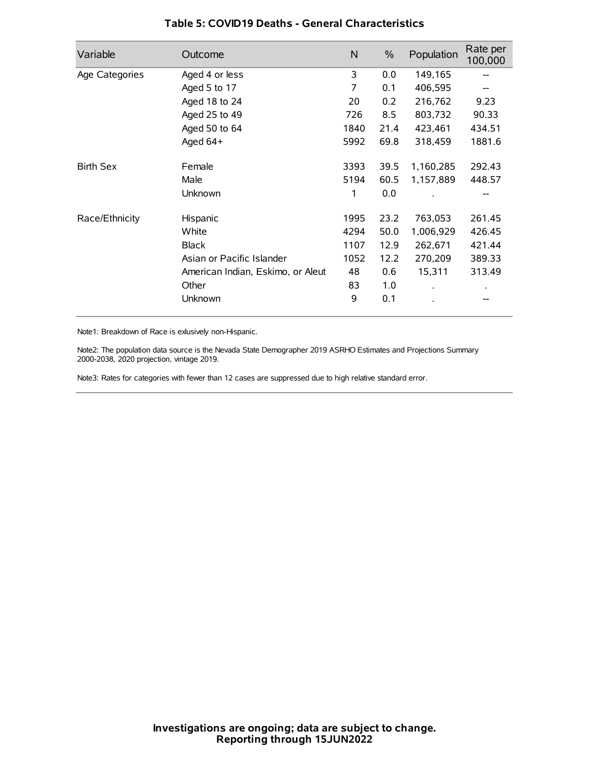| Variable         | Outcome                           | N    | $\%$ | Population | Rate per<br>100,000 |
|------------------|-----------------------------------|------|------|------------|---------------------|
| Age Categories   | Aged 4 or less                    | 3    | 0.0  | 149,165    |                     |
|                  | Aged 5 to 17                      | 7    | 0.1  | 406,595    |                     |
|                  | Aged 18 to 24                     | 20   | 0.2  | 216,762    | 9.23                |
|                  | Aged 25 to 49                     | 726  | 8.5  | 803,732    | 90.33               |
|                  | Aged 50 to 64                     | 1840 | 21.4 | 423,461    | 434.51              |
|                  | Aged 64+                          | 5992 | 69.8 | 318,459    | 1881.6              |
| <b>Birth Sex</b> | Female                            | 3393 | 39.5 | 1,160,285  | 292.43              |
|                  | Male                              | 5194 | 60.5 | 1,157,889  | 448.57              |
|                  | Unknown                           | 1    | 0.0  |            | --                  |
| Race/Ethnicity   | Hispanic                          | 1995 | 23.2 | 763,053    | 261.45              |
|                  | White                             | 4294 | 50.0 | 1,006,929  | 426.45              |
|                  | <b>Black</b>                      | 1107 | 12.9 | 262,671    | 421.44              |
|                  | Asian or Pacific Islander         | 1052 | 12.2 | 270,209    | 389.33              |
|                  | American Indian, Eskimo, or Aleut | 48   | 0.6  | 15,311     | 313.49              |
|                  | Other                             | 83   | 1.0  |            |                     |
|                  | Unknown                           | 9    | 0.1  |            |                     |

### **Table 5: COVID19 Deaths - General Characteristics**

Note1: Breakdown of Race is exlusively non-Hispanic.

Note2: The population data source is the Nevada State Demographer 2019 ASRHO Estimates and Projections Summary 2000-2038, 2020 projection, vintage 2019.

Note3: Rates for categories with fewer than 12 cases are suppressed due to high relative standard error.